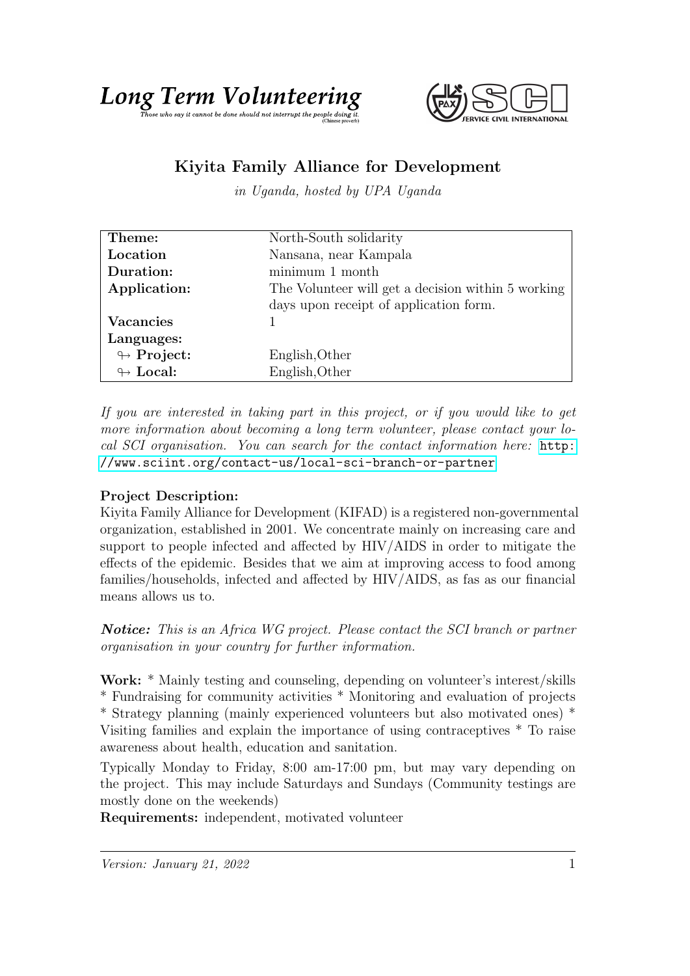



## Kiyita Family Alliance for Development

in Uganda, hosted by UPA Uganda

| Theme:                     | North-South solidarity                             |
|----------------------------|----------------------------------------------------|
| Location                   | Nansana, near Kampala                              |
| Duration:                  | minimum 1 month                                    |
| Application:               | The Volunteer will get a decision within 5 working |
|                            | days upon receipt of application form.             |
| <b>Vacancies</b>           |                                                    |
| Languages:                 |                                                    |
| $\looparrowright$ Project: | English, Other                                     |
| $\leftrightarrow$ Local:   | English, Other                                     |

If you are interested in taking part in this project, or if you would like to get more information about becoming a long term volunteer, please contact your local SCI organisation. You can search for the contact information here: [http:](http://www.sciint.org/contact-us/local-sci-branch-or-partner) [//www.sciint.org/contact-us/local-sci-branch-or-partner](http://www.sciint.org/contact-us/local-sci-branch-or-partner)

## Project Description:

Kiyita Family Alliance for Development (KIFAD) is a registered non-governmental organization, established in 2001. We concentrate mainly on increasing care and support to people infected and affected by HIV/AIDS in order to mitigate the effects of the epidemic. Besides that we aim at improving access to food among families/households, infected and affected by HIV/AIDS, as fas as our financial means allows us to.

Notice: This is an Africa WG project. Please contact the SCI branch or partner organisation in your country for further information.

Work: \* Mainly testing and counseling, depending on volunteer's interest/skills \* Fundraising for community activities \* Monitoring and evaluation of projects \* Strategy planning (mainly experienced volunteers but also motivated ones) \* Visiting families and explain the importance of using contraceptives \* To raise awareness about health, education and sanitation.

Typically Monday to Friday, 8:00 am-17:00 pm, but may vary depending on the project. This may include Saturdays and Sundays (Community testings are mostly done on the weekends)

Requirements: independent, motivated volunteer

 $Version: January 21, 2022$  1